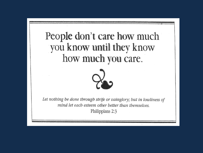# People don't care how much you know until they know how much you care.



Let nothing be done through strife or vainglory; but in lowliness of mind let each esteem other better than themselves Philippians 2:3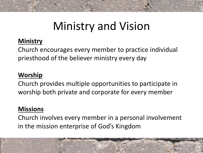# Ministry and Vision

# **Ministry**

Church encourages every member to practice individual priesthood of the believer ministry every day

### **Worship**

Church provides multiple opportunities to participate in worship both private and corporate for every member

### **Missions**

Church involves every member in a personal involvement in the mission enterprise of God's Kingdom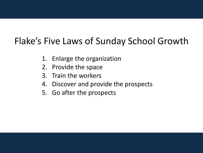# Flake's Five Laws of Sunday School Growth

- 1. Enlarge the organization
- 2. Provide the space
- 3. Train the workers
- 4. Discover and provide the prospects
- 5. Go after the prospects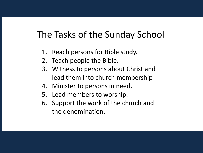# The Tasks of the Sunday School

- 1. Reach persons for Bible study.
- 2. Teach people the Bible.
- 3. Witness to persons about Christ and lead them into church membership
- 4. Minister to persons in need.
- 5. Lead members to worship.
- 6. Support the work of the church and the denomination.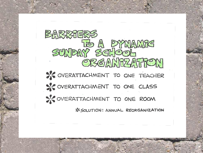BARRIERS SUNDAY SCHOOL SY OVERATTACHMENT TO ONE TEACHER SIC OVERATTACHMENT TO ONE CLASS SI OVERATTACHMENT TO ONE ROOM **IS SOLUTION: ANNUAL REORGANIZATION**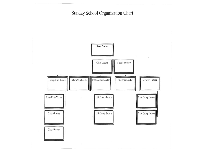Sunday School Organization Chart

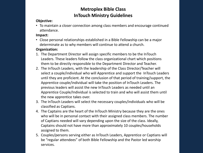#### **Metroplex Bible Class InTouch Ministry Guidelines**

#### **Objective:**

• To maintain a closer connection among class members and encourage continued attendance.

#### **Impact:**

• Close personal relationships established in a Bible Fellowship can be a major determinate as to why members will continue to attend a church.

#### **Organization:**

- 1. The Department Director will assign specific members to be the InTouch Leaders. These leaders follow the class organizational chart which positions them to be directly responsible to the Department Director and Teacher.
- 2. The InTouch Leaders, with the leadership of the Class Director/Teacher will select a couple/individual who will Apprentice and support the InTouch Leaders until they are proficient. At the conclusion of that period of training/support, the Apprentice couple/individual will take the position of InTouch Leaders. The previous leaders will assist the new InTouch Leaders as needed until an Apprentice Couple/Individual is selected to train and who will assist them until the new apprentice takes over.
- 3. The InTouch Leaders will select the necessary couples/individuals who will be classified as Captians.
- 4. The Captains are the heart of the InTouch Ministry because they are the ones who will be in personal contact with their assigned class members. The number of Captians needed will vary depending upon the size of the class. Ideally, Captains should not have more than approximately 10 couples/households assigned to them.
- 5. Couples/persons serving either as InTouch Leaders, Apprentice or Captians will be "regular attendees" of both Bible Fellowship and the Pastor led worship services.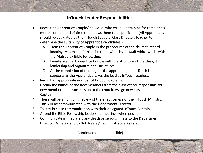#### **InTouch Leader Responsibilities**

- 1. Recruit an Apprentice Couple/Individual who will be in training for three or six months or a period of time that allows them to be proficient. (All Apprentices should be evaluated by the InTouch Leaders, Class Director, Teacher to determine the suitability of Apprentice candidates.)
	- A. Train the Apprentice Couple in the procedures of the church's record keeping system and familiarize them with church staff which works with the Metroplex Bible Fellowship.
	- B. Familiarize the Apprentice Couple with the structure of the class, its leadership and organizational structures.
	- C. At the completion of training for the apprentice, the InTouch Leader supports as the Apprentice takes the lead as InTouch Leaders.
- 2. Recruit an appropriate number of InTouch Captains.
- 3. Obtain the names of the new members from the class officer responsible for new member data transmission to the church. Assign new class members to a Captain.
- 4. There will be an ongoing review of the effectiveness of the InTouch Ministry. This will be communicated with the Department Director.
- 5. To stay in close communication with their delegated InTouch Captains.
- 6. Attend the Bible Fellowship leadership meetings when possible.
- 7. Communicate immediately any death or serious illness to the Department Director, Dr. Terry, and to Bob Neeley's administrative Assistant.

(Continued on the next slide)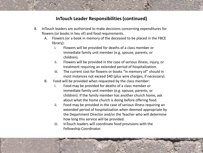#### **InTouch Leader Responsibilities (continued)**

- 8. InTouch leaders are authorized to make decisions concerning expenditures for flowers (or books in lieu of) and food requirements.
	- A. Flowers (or a book in memory of the deceased to be placed in the FBCE library):
		- i. Flowers will be provided for deaths of a class member or immediate family unit member (e.g. spouse, parents, or children).
		- ii. Flowers will be provided in the case of serious illness, injury, or treatment requiring an extended period of hospitalization.
		- iii. The current cost for flowers or books "in memory of" should in most instances not exceed \$40 (plus wire charges, if necessary).
	- B. Food will be provided when requested by the class member:
		- i. Food may be provided for deaths of a class member or immediate family unit member (e.g. spouse, parents, or children). If the family member has another church home, ask about what the home church is doing before offering food.
		- ii. Food may be provided in the case of serious illness requiring an extended period of hospitalization when deemed appropriate by the Department Director and/or the Teacher who will determine how long this service will be provided.
		- iii. InTouch leaders will coordinate food provisions with the Fellowship Coordinator.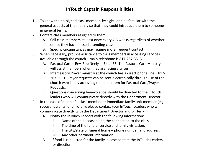#### **InTouch Captain Responsibilities**

- 1. To know their assigned class members by sight, and be familiar with the general aspects of their family so that they could introduce them to someone in general terms.
- 2. Contact class members assigned to them:
	- A. Call class members at least once every 4-6 weeks regardless of whether or not they have missed attending class.
	- B. Specific circumstances may require more frequent contact.
- 3. When necessary, provide assistance to class members in accessing services available through the church – main telephone is 817-267-3313.
	- A. Pastoral Care Rev. Bob Neely at Ext. 436. The Pastoral Care Ministry will assist members when they are facing a crises.
	- B. Intercessory Prayer ministry at the church has a direct phone line 817- 267-3001. Prayer requests can be sent electronically through use of the church website by accessing the menu item for Pastoral Care/Prayer Requests.
	- C. Questions concerning benevolence should be directed to the InTouch leaders who will communicate directly with the Department Director.
- 4. In the case of death of a class member or immediate family unit member (e.g. spouse, parents, or children); please contact your InTouch Leaders who will communicate directly with the Department Director and Dr. Terry.
	- A. Notify the InTouch Leaders with the following information:
		- i. Name of the deceased and the connection to the class.
		- ii. The time of the funeral service and family visitation.
		- iii. The city/state of funeral home  $-$  phone number, and address.
		- iv. Any other pertinent information.
	- B. If food is requested for the family, please contact the InTouch Leaders for direction.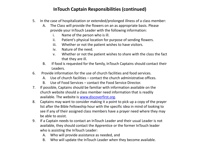#### **InTouch Captain Responsibilities (continued)**

- 5. In the case of hospitalization or extended/prolonged illness of a class member:
	- A. The Class will provide the flowers on an as appropriate basis. Please provide your InTouch Leader with the following information:
		- i. Name of the person who is ill.
		- ii. Patient's physical location for purpose of sending flowers.
		- iii. Whether or not the patient wishes to have visitors.
		- iv. Nature of the need.
		- v. Whether or not the patient wishes to share with the class the fact that they are ill.
	- B. If food is requested for the family, InTouch Captains should contact their Leaders.
- 6. Provide information for the use of church facilities and food services.
	- A. Use of church facilities contact the church administrative offices.
	- B. Use of Food Services contact the Food Service Director.
- 7. If possible, Captains should be familiar with information available on the church website should a class member need information that is readily available. The website is [www.discoverfirst.org.](http://www.discoverfirst.org/)
- 8. Captains may want to consider making it a point to pick up a copy of the prayer list after the Bible Fellowship hour with the specific idea in mind of looking to see if any of their assigned class members have a prayer need where they may be able to assist.
- 9. If a Captain needs to contact an InTouch Leader and their usual Leader is not available, they should contact the Apprentice or the former InTouch leader who is assisting the InTouch Leader:
	- A. Who will provide assistance as needed, and
	- B. Who will update the InTouch Leader when they become available.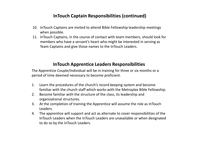#### **InTouch Captain Responsibilities (continued)**

- 10. InTouch Captains are invited to attend Bible Fellowship leadership meetings when possible.
- 11. InTouch Captains, in the course of contact with team members, should look for members who have a servant's heart who might be interested in serving as Team Captains and give those names to the InTouch Leaders.

#### **InTouch Apprentice Leaders Responsibilities**

The Apprentice Couple/Individual will be in training for three or six months or a period of time deemed necessary to become proficient.

- 1. Learn the procedures of the church's record keeping system and become familiar with the church staff which works with the Metroplex Bible Fellowship.
- 2. Become familiar with the structure of the class, its leadership and organizational structures.
- 3. At the completion of training the Apprentice will assume the role as InTouch Leaders.
- 4. The apprentice will support and act as alternate to cover responsibilities of the InTouch Leaders when the InTouch Leaders are unavailable or when designated to do so by the InTouch Leaders.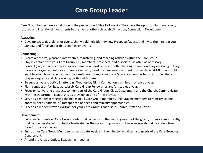### **Care Group Leader**

Care Group Leaders are a vital place in the puzzle called Bible Fellowship. They have the opportunity to make very focused and intentional investments in the lives of others through Attraction, Connection, Development.

#### **Attracting:**

• Develop strategies, plans, or events that would help identify new Prospects/Guests and invite them to join you Sunday, and for all applicable activities or events.

#### **Connecting:**

- Create a positive, pleasant, informative, ministering, and reaching attitude within the Care Group.
- Stay in contact with your Care Group, i.e., members, prospects, and associates as often as necessary.
- Contact (call, email, visit, write) every member at least once a month, checking to see how they are doing. If they have any prayer requests, or if there is a ministry need the class needs to meet. It's best to ASSUME they would want to know how to be involved. Be careful not to imply guilt or a "you are a number to us" attitude. Share prayers requests and class events/parties with them.
- Be supportive and active in attending Wednesday Night Connection a minimum of once a year.
- Plan, conduct or facilitate at least six Care Group Fellowships and/or studies a year.
- Focus on converting prospects to members of the Care Group, Class/Department and the Church. Communicate with the Department Leadership as they join at one of these levles.
- Serve as a model in meeting the needs of all Care Group members. Encouraging members to minister to one another. Keep Leadership/Staff apprized of needs and ministry opportunities.
- Serve as a model "Prayer Warrior" for your Care Group, Leadership, Church, Staff and Pastor.

#### **Development:**

- Enlist an "apprentice" Care Group Leader that can assist in the ministry needs of the group, but more importantly, that can be developed into future leadership as the Care Group grows or if new groups should be added. New Care Groups are the goal!
- Enlist other Care Group Members to participate weekly in the ministry activities and needs of the Care Group or Department.
- Attend the All appropriate Leadership meetings.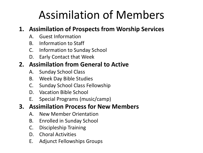# Assimilation of Members

## **1. Assimilation of Prospects from Worship Services**

- A. Guest Information
- B. Information to Staff
- C. Information to Sunday School
- D. Early Contact that Week

## **2. Assimilation from General to Active**

- A. Sunday School Class
- B. Week Day Bible Studies
- C. Sunday School Class Fellowship
- D. Vacation Bible School
- E. Special Programs (music/camp)

## **3. Assimilation Process for New Members**

- A. New Member Orientation
- B. Enrolled in Sunday School
- C. Discipleship Training
- D. Choral Activities
- E. Adjunct Fellowships Groups